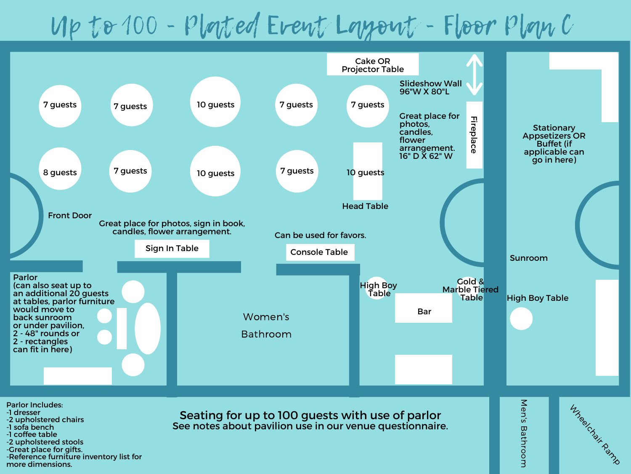## Up to 100 - Plated Event Layout - Floor Plan C



See notes about pavilion use in our venue questionnaire.

Bathro o m

- -1 sofa bench -1 coffee table
- -2 upholstered stools
- -Great place for gifts.
- -Reference furniture inventory list for more dimensions.